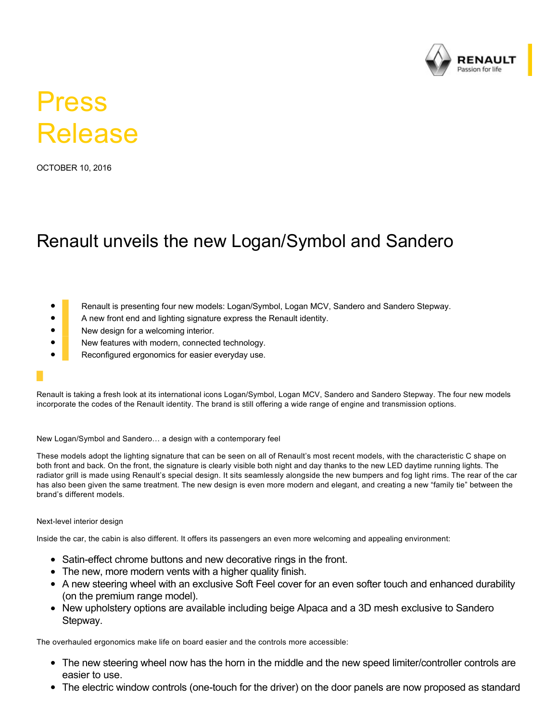

# Press Release

OCTOBER 10, 2016

## Renault unveils the new Logan/Symbol and Sandero

- Renault is presenting four new models: Logan/Symbol, Logan MCV, Sandero and Sandero Stepway.
- A new front end and lighting signature express the Renault identity.
- New design for a welcoming interior.
- New features with modern, connected technology.
- Reconfigured ergonomics for easier everyday use.

Renault is taking a fresh look at its international icons Logan/Symbol, Logan MCV, Sandero and Sandero Stepway. The four new models incorporate the codes of the Renault identity. The brand is still offering a wide range of engine and transmission options.

## New Logan/Symbol and Sandero… a design with a contemporary feel

These models adopt the lighting signature that can be seen on all of Renault's most recent models, with the characteristic C shape on both front and back. On the front, the signature is clearly visible both night and day thanks to the new LED daytime running lights. The radiator grill is made using Renault's special design. It sits seamlessly alongside the new bumpers and fog light rims. The rear of the car has also been given the same treatment. The new design is even more modern and elegant, and creating a new "family tie" between the brand's different models.

## Next-level interior design

Inside the car, the cabin is also different. It offers its passengers an even more welcoming and appealing environment:

- Satin-effect chrome buttons and new decorative rings in the front.
- The new, more modern vents with a higher quality finish.
- A new steering wheel with an exclusive Soft Feel cover for an even softer touch and enhanced durability (on the premium range model).
- New upholstery options are available including beige Alpaca and a 3D mesh exclusive to Sandero Stepway.

The overhauled ergonomics make life on board easier and the controls more accessible:

- The new steering wheel now has the horn in the middle and the new speed limiter/controller controls are easier to use.
- The electric window controls (one-touch for the driver) on the door panels are now proposed as standard